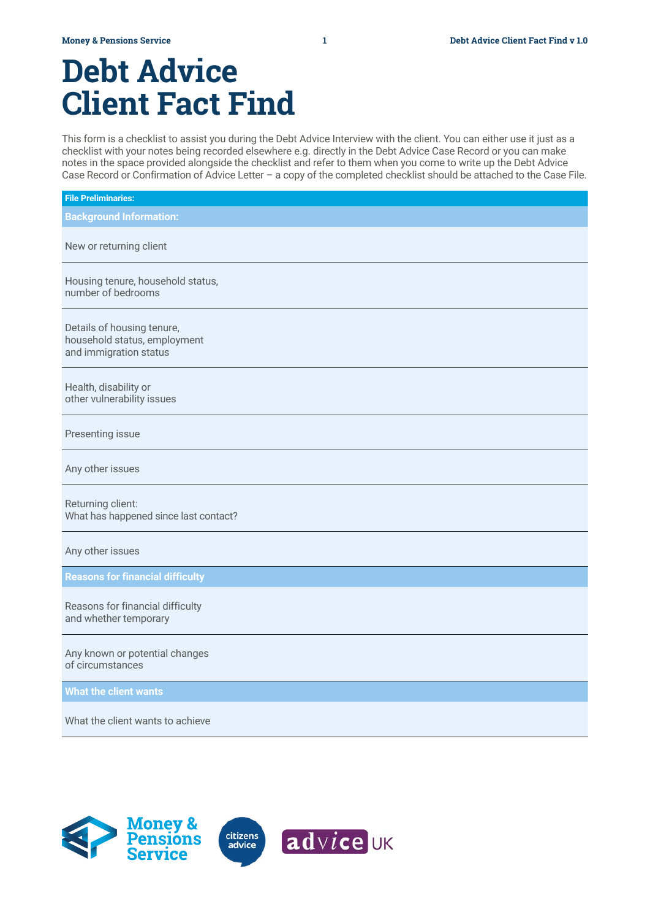# **Debt Advice Client Fact Find**

This form is a checklist to assist you during the Debt Advice Interview with the client. You can either use it just as a checklist with your notes being recorded elsewhere e.g. directly in the Debt Advice Case Record or you can make notes in the space provided alongside the checklist and refer to them when you come to write up the Debt Advice Case Record or Confirmation of Advice Letter – a copy of the completed checklist should be attached to the Case File.

| <b>File Preliminaries:</b>                                                           |
|--------------------------------------------------------------------------------------|
| <b>Background Information:</b>                                                       |
| New or returning client                                                              |
| Housing tenure, household status,<br>number of bedrooms                              |
| Details of housing tenure,<br>household status, employment<br>and immigration status |
| Health, disability or<br>other vulnerability issues                                  |
| Presenting issue                                                                     |
| Any other issues                                                                     |
| Returning client:<br>What has happened since last contact?                           |
| Any other issues                                                                     |
| <b>Reasons for financial difficulty</b>                                              |
| Reasons for financial difficulty<br>and whether temporary                            |
| Any known or potential changes<br>of circumstances                                   |
| <b>What the client wants</b>                                                         |
| What the client wants to achieve                                                     |
|                                                                                      |

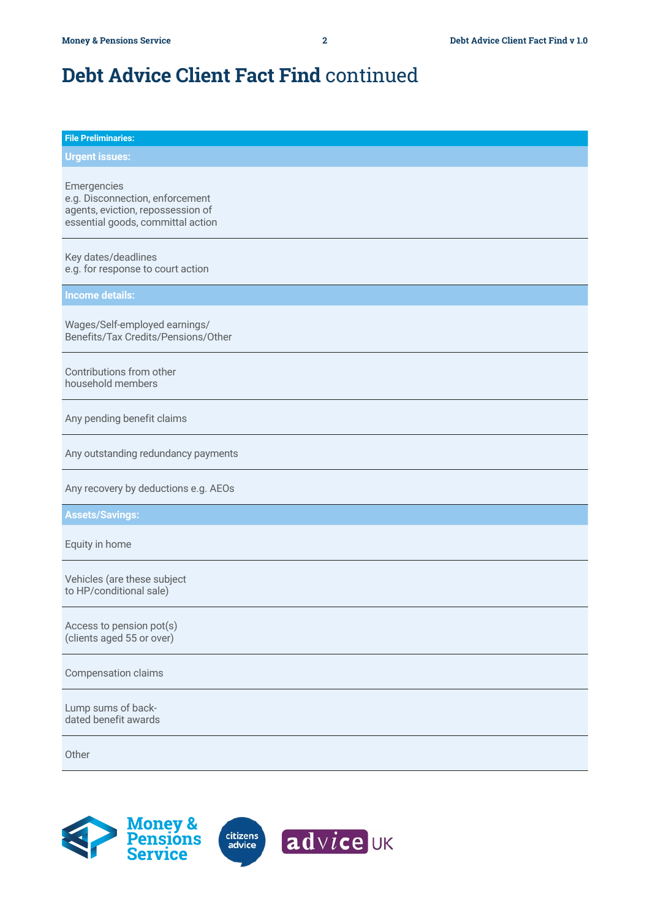| <b>File Preliminaries:</b>                                                                                               |
|--------------------------------------------------------------------------------------------------------------------------|
| <b>Urgent issues:</b>                                                                                                    |
| Emergencies<br>e.g. Disconnection, enforcement<br>agents, eviction, repossession of<br>essential goods, committal action |
| Key dates/deadlines<br>e.g. for response to court action                                                                 |
| <b>Income details:</b>                                                                                                   |
| Wages/Self-employed earnings/<br>Benefits/Tax Credits/Pensions/Other                                                     |
| Contributions from other<br>household members                                                                            |
| Any pending benefit claims                                                                                               |
| Any outstanding redundancy payments                                                                                      |
| Any recovery by deductions e.g. AEOs                                                                                     |
| <b>Assets/Savings:</b>                                                                                                   |
| Equity in home                                                                                                           |
| Vehicles (are these subject<br>to HP/conditional sale)                                                                   |
| Access to pension pot(s)<br>(clients aged 55 or over)                                                                    |
| <b>Compensation claims</b>                                                                                               |
| Lump sums of back-<br>dated benefit awards                                                                               |
| Other                                                                                                                    |

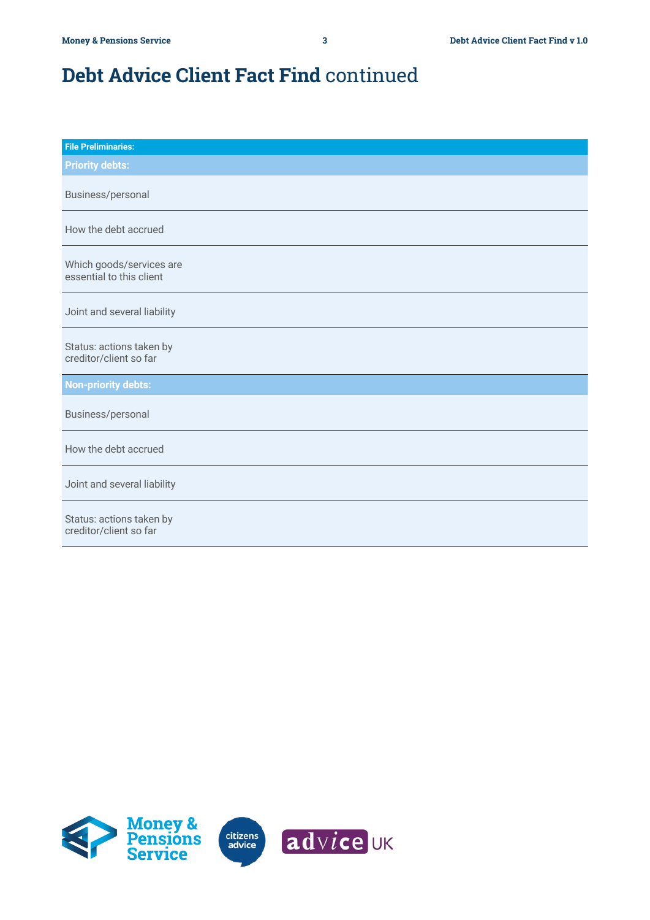| <b>File Preliminaries:</b>                           |
|------------------------------------------------------|
| <b>Priority debts:</b>                               |
| Business/personal                                    |
| How the debt accrued                                 |
| Which goods/services are<br>essential to this client |
| Joint and several liability                          |
| Status: actions taken by<br>creditor/client so far   |
| <b>Non-priority debts:</b>                           |
| Business/personal                                    |
| How the debt accrued                                 |
| Joint and several liability                          |
| Status: actions taken by<br>creditor/client so far   |

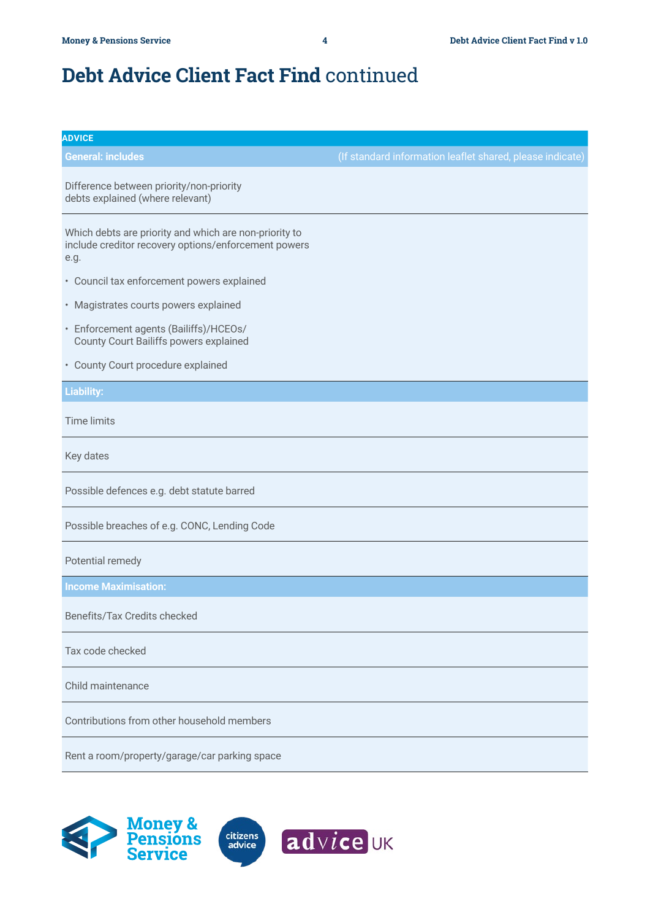| <b>ADVICE</b>                                                                                                          |                                                           |
|------------------------------------------------------------------------------------------------------------------------|-----------------------------------------------------------|
| <b>General: includes</b>                                                                                               | (If standard information leaflet shared, please indicate) |
| Difference between priority/non-priority<br>debts explained (where relevant)                                           |                                                           |
| Which debts are priority and which are non-priority to<br>include creditor recovery options/enforcement powers<br>e.g. |                                                           |
| • Council tax enforcement powers explained                                                                             |                                                           |
| • Magistrates courts powers explained                                                                                  |                                                           |
| · Enforcement agents (Bailiffs)/HCEOs/<br>County Court Bailiffs powers explained                                       |                                                           |
| • County Court procedure explained                                                                                     |                                                           |
| <b>Liability:</b>                                                                                                      |                                                           |
| <b>Time limits</b>                                                                                                     |                                                           |
| Key dates                                                                                                              |                                                           |
| Possible defences e.g. debt statute barred                                                                             |                                                           |
| Possible breaches of e.g. CONC, Lending Code                                                                           |                                                           |
| Potential remedy                                                                                                       |                                                           |
| <b>Income Maximisation:</b>                                                                                            |                                                           |
| Benefits/Tax Credits checked                                                                                           |                                                           |
| Tax code checked                                                                                                       |                                                           |
| Child maintenance                                                                                                      |                                                           |
| Contributions from other household members                                                                             |                                                           |
| Rent a room/property/garage/car parking space                                                                          |                                                           |

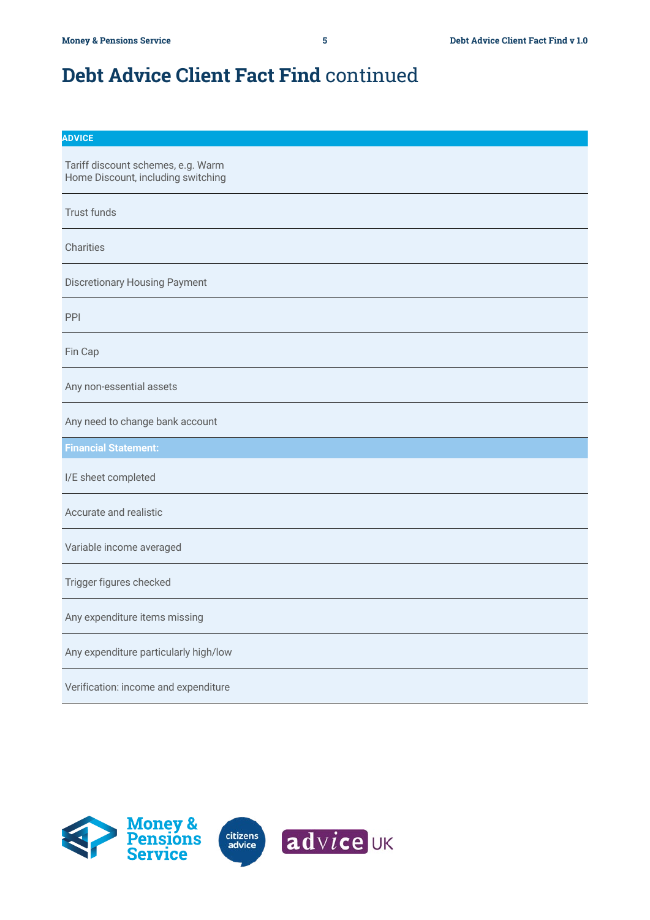| ٠ |  |
|---|--|
|   |  |
|   |  |

Tariff discount schemes, e.g. Warm Home Discount, including switching

Trust funds

Charities

Discretionary Housing Payment

PPI

Fin Cap

Any non-essential assets

Any need to change bank account

**Financial Statement:**

I/E sheet completed

Accurate and realistic

Variable income averaged

Trigger figures checked

Any expenditure items missing

Any expenditure particularly high/low

Verification: income and expenditure

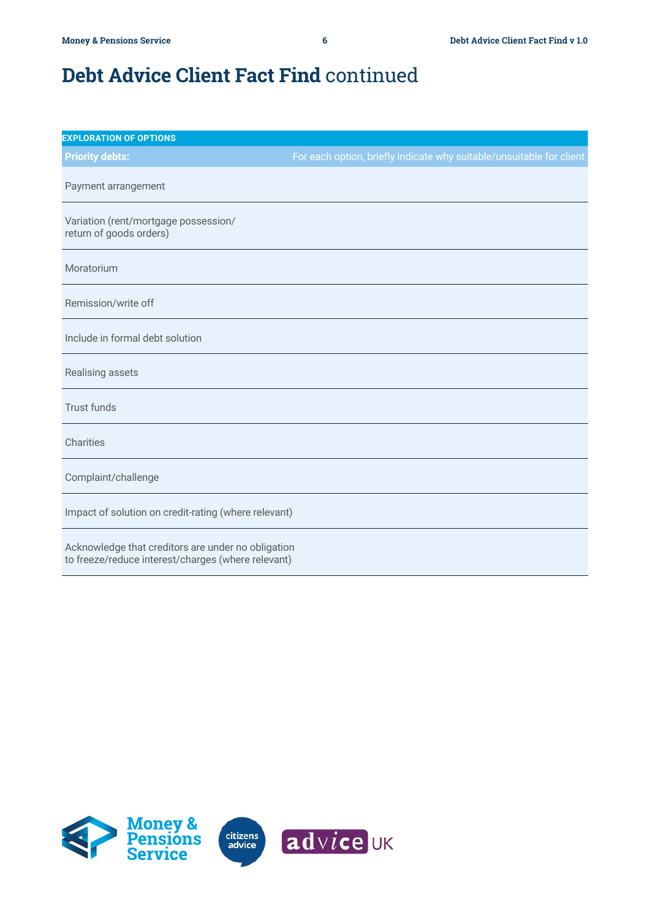| <b>EXPLORATION OF OPTIONS</b>                                                                            |                                                                      |
|----------------------------------------------------------------------------------------------------------|----------------------------------------------------------------------|
| <b>Priority debts:</b>                                                                                   | For each option, briefly indicate why suitable/unsuitable for client |
| Payment arrangement                                                                                      |                                                                      |
| Variation (rent/mortgage possession/<br>return of goods orders)                                          |                                                                      |
| Moratorium                                                                                               |                                                                      |
| Remission/write off                                                                                      |                                                                      |
| Include in formal debt solution                                                                          |                                                                      |
| Realising assets                                                                                         |                                                                      |
| <b>Trust funds</b>                                                                                       |                                                                      |
| Charities                                                                                                |                                                                      |
| Complaint/challenge                                                                                      |                                                                      |
| Impact of solution on credit-rating (where relevant)                                                     |                                                                      |
| Acknowledge that creditors are under no obligation<br>to freeze/reduce interest/charges (where relevant) |                                                                      |

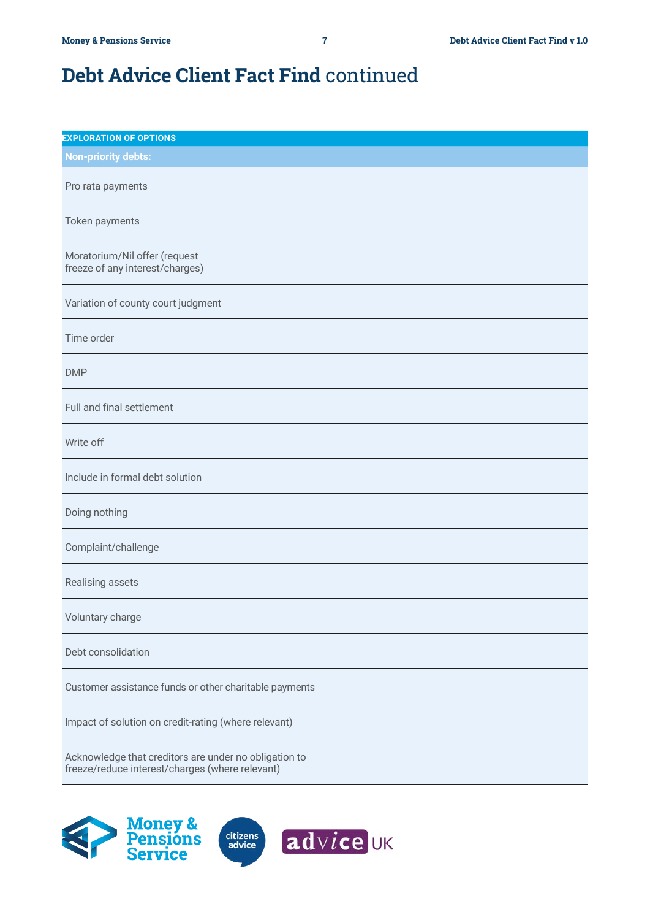| <b>EXPLORATION OF OPTIONS</b>                                                                            |
|----------------------------------------------------------------------------------------------------------|
| <b>Non-priority debts:</b>                                                                               |
| Pro rata payments                                                                                        |
| Token payments                                                                                           |
| Moratorium/Nil offer (request<br>freeze of any interest/charges)                                         |
| Variation of county court judgment                                                                       |
| Time order                                                                                               |
| <b>DMP</b>                                                                                               |
| Full and final settlement                                                                                |
| Write off                                                                                                |
| Include in formal debt solution                                                                          |
| Doing nothing                                                                                            |
| Complaint/challenge                                                                                      |
| Realising assets                                                                                         |
| Voluntary charge                                                                                         |
| Debt consolidation                                                                                       |
| Customer assistance funds or other charitable payments                                                   |
| Impact of solution on credit-rating (where relevant)                                                     |
| Acknowledge that creditors are under no obligation to<br>freeze/reduce interest/charges (where relevant) |